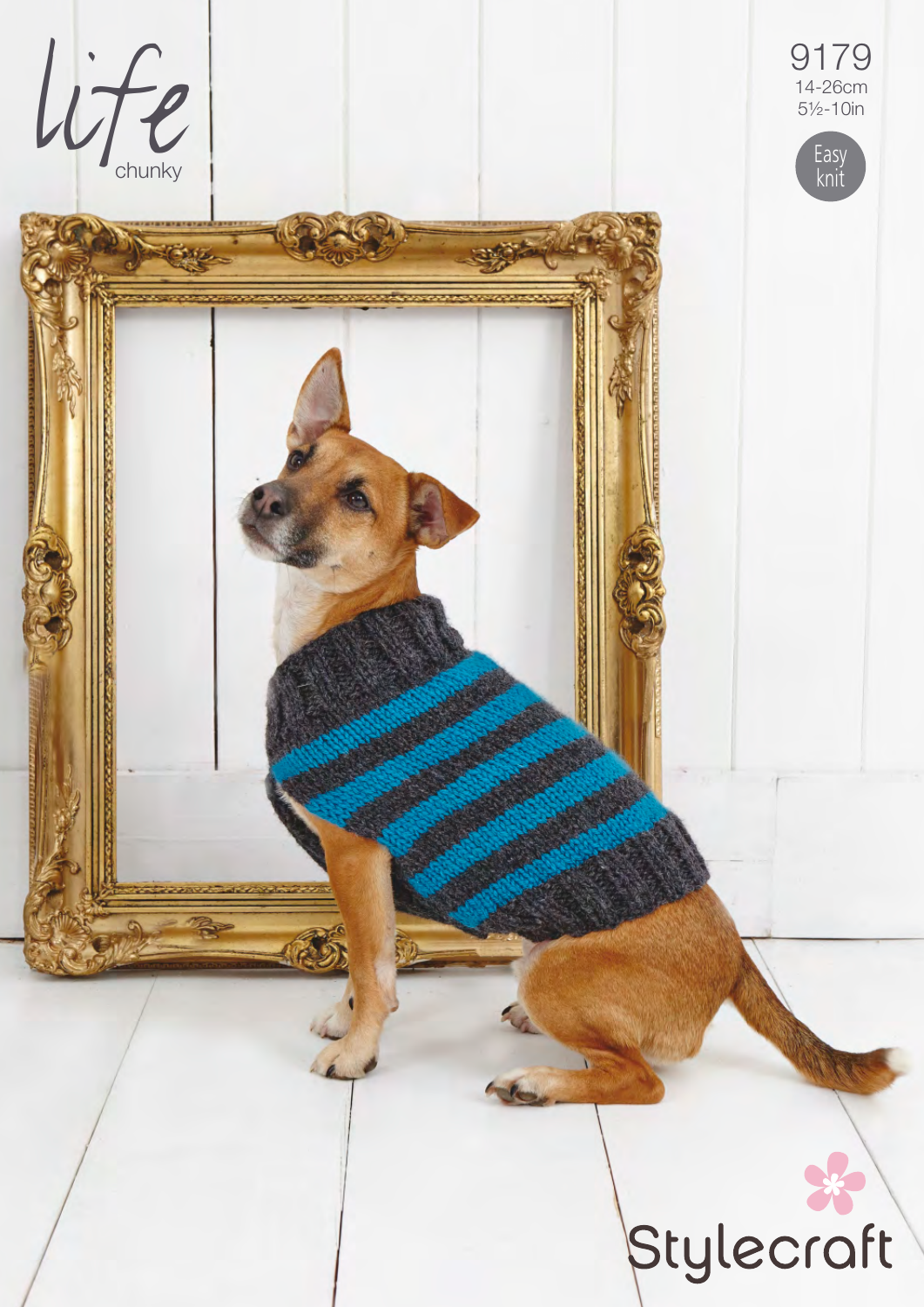

9179  $14 - 26$ cm<br> $5\frac{1}{2} - 10$ in



# Stylecraft